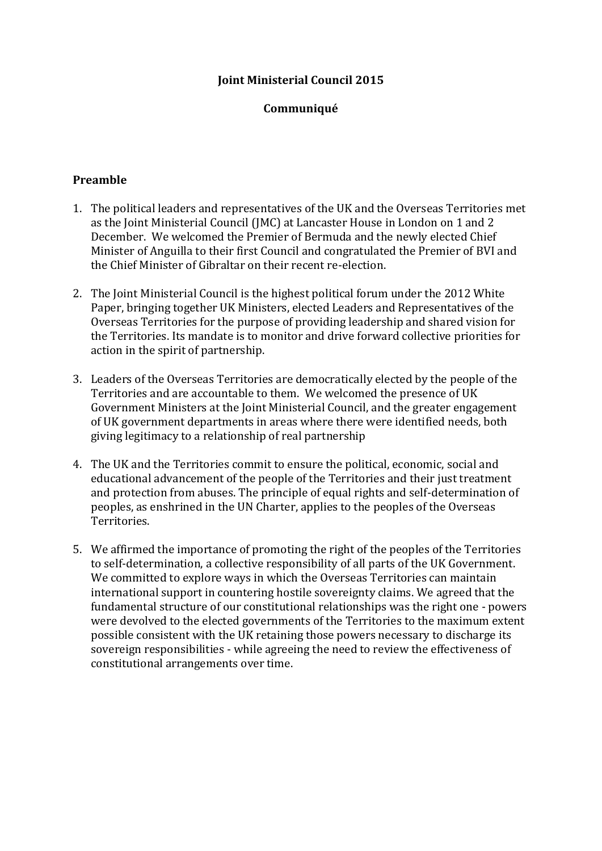### **Joint Ministerial Council 2015**

#### **Communiqué**

#### **Preamble**

- 1. The political leaders and representatives of the UK and the Overseas Territories met as the Joint Ministerial Council (JMC) at Lancaster House in London on 1 and 2 December. We welcomed the Premier of Bermuda and the newly elected Chief Minister of Anguilla to their first Council and congratulated the Premier of BVI and the Chief Minister of Gibraltar on their recent re-election.
- 2. The Joint Ministerial Council is the highest political forum under the 2012 White Paper, bringing together UK Ministers, elected Leaders and Representatives of the Overseas Territories for the purpose of providing leadership and shared vision for the Territories. Its mandate is to monitor and drive forward collective priorities for action in the spirit of partnership.
- 3. Leaders of the Overseas Territories are democratically elected by the people of the Territories and are accountable to them. We welcomed the presence of UK Government Ministers at the Joint Ministerial Council, and the greater engagement of UK government departments in areas where there were identified needs, both giving legitimacy to a relationship of real partnership
- 4. The UK and the Territories commit to ensure the political, economic, social and educational advancement of the people of the Territories and their just treatment and protection from abuses. The principle of equal rights and self-determination of peoples, as enshrined in the UN Charter, applies to the peoples of the Overseas Territories.
- 5. We affirmed the importance of promoting the right of the peoples of the Territories to self-determination, a collective responsibility of all parts of the UK Government. We committed to explore ways in which the Overseas Territories can maintain international support in countering hostile sovereignty claims. We agreed that the fundamental structure of our constitutional relationships was the right one - powers were devolved to the elected governments of the Territories to the maximum extent possible consistent with the UK retaining those powers necessary to discharge its sovereign responsibilities - while agreeing the need to review the effectiveness of constitutional arrangements over time.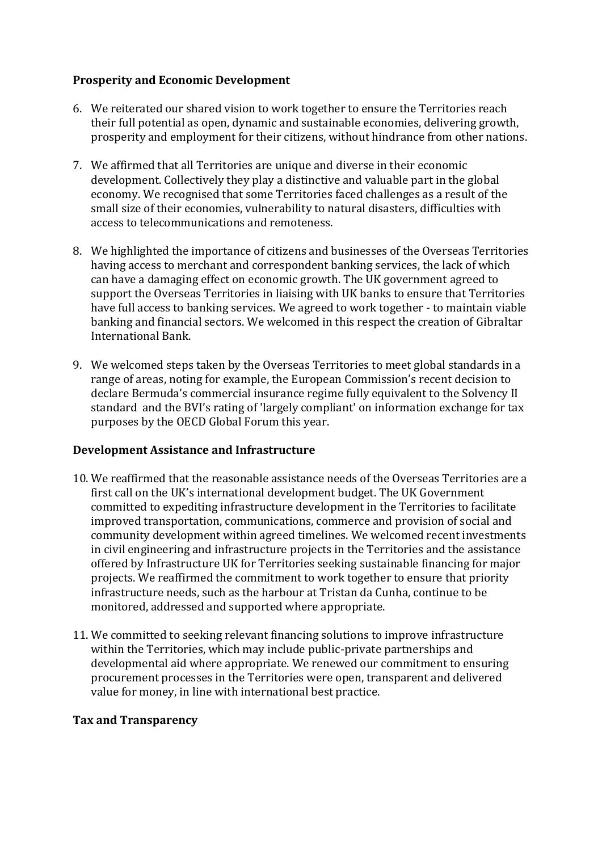### **Prosperity and Economic Development**

- 6. We reiterated our shared vision to work together to ensure the Territories reach their full potential as open, dynamic and sustainable economies, delivering growth, prosperity and employment for their citizens, without hindrance from other nations.
- 7. We affirmed that all Territories are unique and diverse in their economic development. Collectively they play a distinctive and valuable part in the global economy. We recognised that some Territories faced challenges as a result of the small size of their economies, vulnerability to natural disasters, difficulties with access to telecommunications and remoteness.
- 8. We highlighted the importance of citizens and businesses of the Overseas Territories having access to merchant and correspondent banking services, the lack of which can have a damaging effect on economic growth. The UK government agreed to support the Overseas Territories in liaising with UK banks to ensure that Territories have full access to banking services. We agreed to work together - to maintain viable banking and financial sectors. We welcomed in this respect the creation of Gibraltar International Bank.
- 9. We welcomed steps taken by the Overseas Territories to meet global standards in a range of areas, noting for example, the European Commission's recent decision to declare Bermuda's commercial insurance regime fully equivalent to the Solvency II standard and the BVI's rating of 'largely compliant' on information exchange for tax purposes by the OECD Global Forum this year.

#### **Development Assistance and Infrastructure**

- 10. We reaffirmed that the reasonable assistance needs of the Overseas Territories are a first call on the UK's international development budget. The UK Government committed to expediting infrastructure development in the Territories to facilitate improved transportation, communications, commerce and provision of social and community development within agreed timelines. We welcomed recent investments in civil engineering and infrastructure projects in the Territories and the assistance offered by Infrastructure UK for Territories seeking sustainable financing for major projects. We reaffirmed the commitment to work together to ensure that priority infrastructure needs, such as the harbour at Tristan da Cunha, continue to be monitored, addressed and supported where appropriate.
- 11. We committed to seeking relevant financing solutions to improve infrastructure within the Territories, which may include public-private partnerships and developmental aid where appropriate. We renewed our commitment to ensuring procurement processes in the Territories were open, transparent and delivered value for money, in line with international best practice.

# **Tax and Transparency**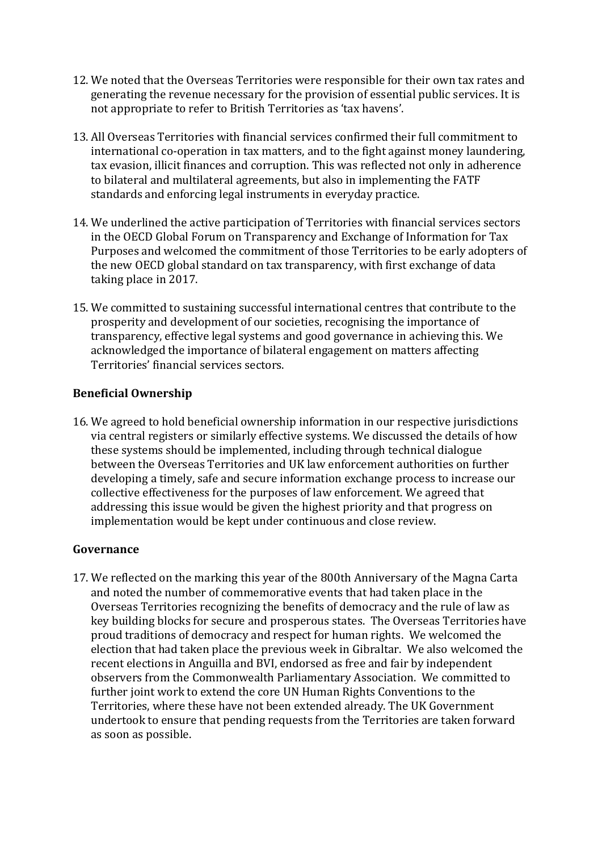- 12. We noted that the Overseas Territories were responsible for their own tax rates and generating the revenue necessary for the provision of essential public services. It is not appropriate to refer to British Territories as 'tax havens'.
- 13. All Overseas Territories with financial services confirmed their full commitment to international co-operation in tax matters, and to the fight against money laundering, tax evasion, illicit finances and corruption. This was reflected not only in adherence to bilateral and multilateral agreements, but also in implementing the FATF standards and enforcing legal instruments in everyday practice.
- 14. We underlined the active participation of Territories with financial services sectors in the OECD Global Forum on Transparency and Exchange of Information for Tax Purposes and welcomed the commitment of those Territories to be early adopters of the new OECD global standard on tax transparency, with first exchange of data taking place in 2017.
- 15. We committed to sustaining successful international centres that contribute to the prosperity and development of our societies, recognising the importance of transparency, effective legal systems and good governance in achieving this. We acknowledged the importance of bilateral engagement on matters affecting Territories' financial services sectors.

### **Beneficial Ownership**

16. We agreed to hold beneficial ownership information in our respective jurisdictions via central registers or similarly effective systems. We discussed the details of how these systems should be implemented, including through technical dialogue between the Overseas Territories and UK law enforcement authorities on further developing a timely, safe and secure information exchange process to increase our collective effectiveness for the purposes of law enforcement. We agreed that addressing this issue would be given the highest priority and that progress on implementation would be kept under continuous and close review.

# **Governance**

17. We reflected on the marking this year of the 800th Anniversary of the Magna Carta and noted the number of commemorative events that had taken place in the Overseas Territories recognizing the benefits of democracy and the rule of law as key building blocks for secure and prosperous states. The Overseas Territories have proud traditions of democracy and respect for human rights. We welcomed the election that had taken place the previous week in Gibraltar. We also welcomed the recent elections in Anguilla and BVI, endorsed as free and fair by independent observers from the Commonwealth Parliamentary Association. We committed to further joint work to extend the core UN Human Rights Conventions to the Territories, where these have not been extended already. The UK Government undertook to ensure that pending requests from the Territories are taken forward as soon as possible.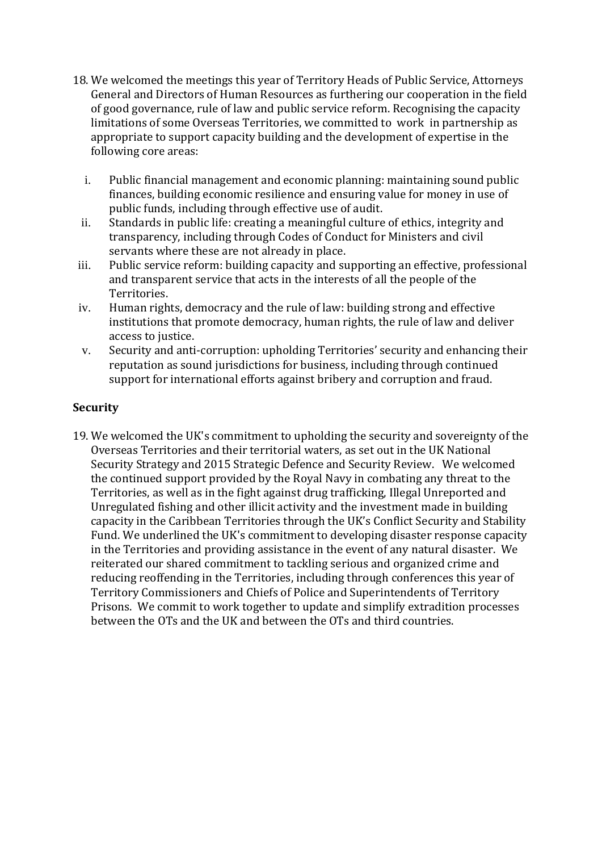- 18. We welcomed the meetings this year of Territory Heads of Public Service, Attorneys General and Directors of Human Resources as furthering our cooperation in the field of good governance, rule of law and public service reform. Recognising the capacity limitations of some Overseas Territories, we committed to work in partnership as appropriate to support capacity building and the development of expertise in the following core areas:
	- i. Public financial management and economic planning: maintaining sound public finances, building economic resilience and ensuring value for money in use of public funds, including through effective use of audit.
	- ii. Standards in public life: creating a meaningful culture of ethics, integrity and transparency, including through Codes of Conduct for Ministers and civil servants where these are not already in place.
- iii. Public service reform: building capacity and supporting an effective, professional and transparent service that acts in the interests of all the people of the Territories.
- iv. Human rights, democracy and the rule of law: building strong and effective institutions that promote democracy, human rights, the rule of law and deliver access to justice.
- v. Security and anti-corruption: upholding Territories' security and enhancing their reputation as sound jurisdictions for business, including through continued support for international efforts against bribery and corruption and fraud.

### **Security**

19. We welcomed the UK's commitment to upholding the security and sovereignty of the Overseas Territories and their territorial waters, as set out in the UK National Security Strategy and 2015 Strategic Defence and Security Review. We welcomed the continued support provided by the Royal Navy in combating any threat to the Territories, as well as in the fight against drug trafficking, Illegal Unreported and Unregulated fishing and other illicit activity and the investment made in building capacity in the Caribbean Territories through the UK's Conflict Security and Stability Fund. We underlined the UK's commitment to developing disaster response capacity in the Territories and providing assistance in the event of any natural disaster. We reiterated our shared commitment to tackling serious and organized crime and reducing reoffending in the Territories, including through conferences this year of Territory Commissioners and Chiefs of Police and Superintendents of Territory Prisons. We commit to work together to update and simplify extradition processes between the OTs and the UK and between the OTs and third countries.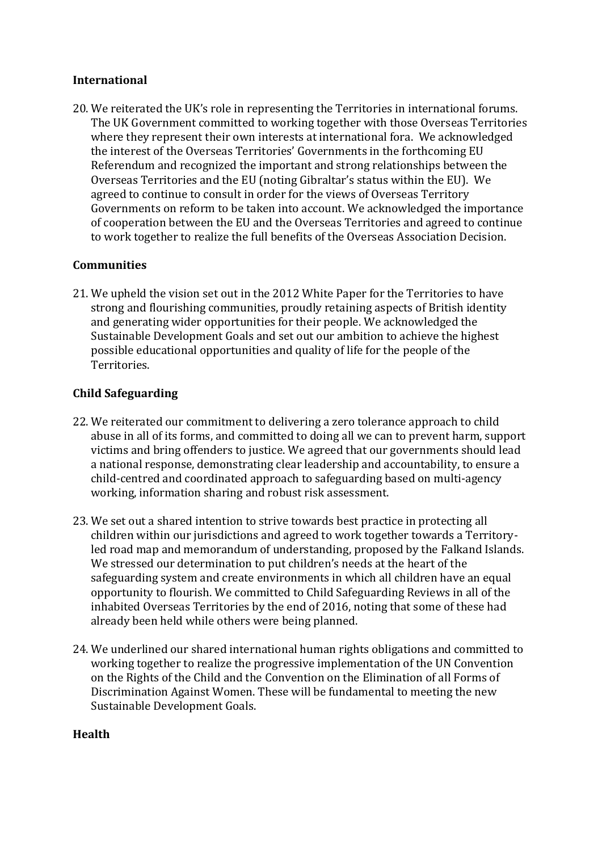### **International**

20. We reiterated the UK's role in representing the Territories in international forums. The UK Government committed to working together with those Overseas Territories where they represent their own interests at international fora. We acknowledged the interest of the Overseas Territories' Governments in the forthcoming EU Referendum and recognized the important and strong relationships between the Overseas Territories and the EU (noting Gibraltar's status within the EU). We agreed to continue to consult in order for the views of Overseas Territory Governments on reform to be taken into account. We acknowledged the importance of cooperation between the EU and the Overseas Territories and agreed to continue to work together to realize the full benefits of the Overseas Association Decision.

# **Communities**

21. We upheld the vision set out in the 2012 White Paper for the Territories to have strong and flourishing communities, proudly retaining aspects of British identity and generating wider opportunities for their people. We acknowledged the Sustainable Development Goals and set out our ambition to achieve the highest possible educational opportunities and quality of life for the people of the Territories.

# **Child Safeguarding**

- 22. We reiterated our commitment to delivering a zero tolerance approach to child abuse in all of its forms, and committed to doing all we can to prevent harm, support victims and bring offenders to justice. We agreed that our governments should lead a national response, demonstrating clear leadership and accountability, to ensure a child-centred and coordinated approach to safeguarding based on multi-agency working, information sharing and robust risk assessment.
- 23. We set out a shared intention to strive towards best practice in protecting all children within our jurisdictions and agreed to work together towards a Territoryled road map and memorandum of understanding, proposed by the Falkand Islands. We stressed our determination to put children's needs at the heart of the safeguarding system and create environments in which all children have an equal opportunity to flourish. We committed to Child Safeguarding Reviews in all of the inhabited Overseas Territories by the end of 2016, noting that some of these had already been held while others were being planned.
- 24. We underlined our shared international human rights obligations and committed to working together to realize the progressive implementation of the UN Convention on the Rights of the Child and the Convention on the Elimination of all Forms of Discrimination Against Women. These will be fundamental to meeting the new Sustainable Development Goals.

#### **Health**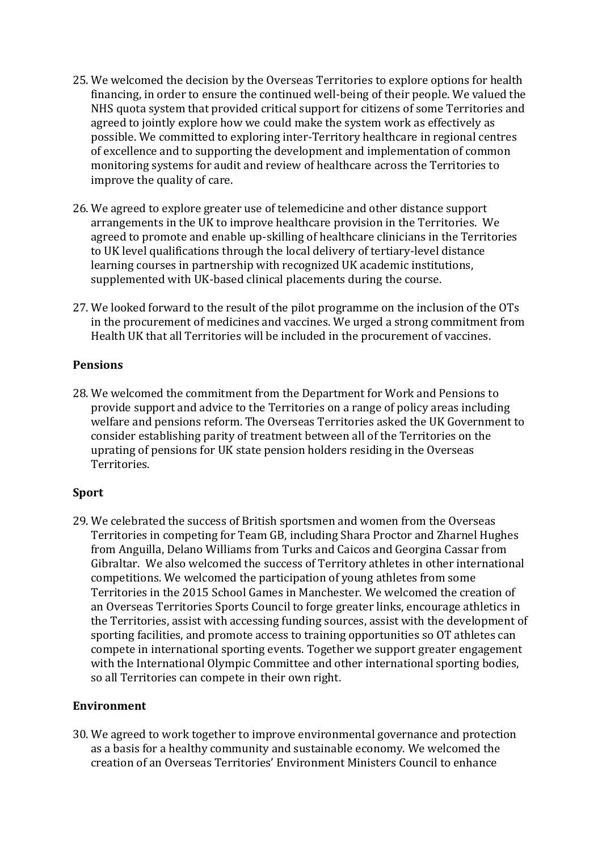- 25. We welcomed the decision by the Overseas Territories to explore options for health financing, in order to ensure the continued well-being of their people. We valued the NHS quota system that provided critical support for citizens of some Territories and agreed to jointly explore how we could make the system work as effectively as possible. We committed to exploring inter-Territory healthcare in regional centres of excellence and to supporting the development and implementation of common monitoring systems for audit and review of healthcare across the Territories to improve the quality of care.
- 26. We agreed to explore greater use of telemedicine and other distance support arrangements in the UK to improve healthcare provision in the Territories. We agreed to promote and enable up-skilling of healthcare clinicians in the Territories to UK level qualifications through the local delivery of tertiary-level distance learning courses in partnership with recognized UK academic institutions, supplemented with UK-based clinical placements during the course.
- 27. We looked forward to the result of the pilot programme on the inclusion of the OTs in the procurement of medicines and vaccines. We urged a strong commitment from Health UK that all Territories will be included in the procurement of vaccines.

### **Pensions**

28. We welcomed the commitment from the Department for Work and Pensions to provide support and advice to the Territories on a range of policy areas including welfare and pensions reform. The Overseas Territories asked the UK Government to consider establishing parity of treatment between all of the Territories on the uprating of pensions for UK state pension holders residing in the Overseas Territories.

# **Sport**

29. We celebrated the success of British sportsmen and women from the Overseas Territories in competing for Team GB, including Shara Proctor and Zharnel Hughes from Anguilla, Delano Williams from Turks and Caicos and Georgina Cassar from Gibraltar. We also welcomed the success of Territory athletes in other international competitions. We welcomed the participation of young athletes from some Territories in the 2015 School Games in Manchester. We welcomed the creation of an Overseas Territories Sports Council to forge greater links, encourage athletics in the Territories, assist with accessing funding sources, assist with the development of sporting facilities, and promote access to training opportunities so OT athletes can compete in international sporting events. Together we support greater engagement with the International Olympic Committee and other international sporting bodies, so all Territories can compete in their own right.

# **Environment**

30. We agreed to work together to improve environmental governance and protection as a basis for a healthy community and sustainable economy. We welcomed the creation of an Overseas Territories' Environment Ministers Council to enhance